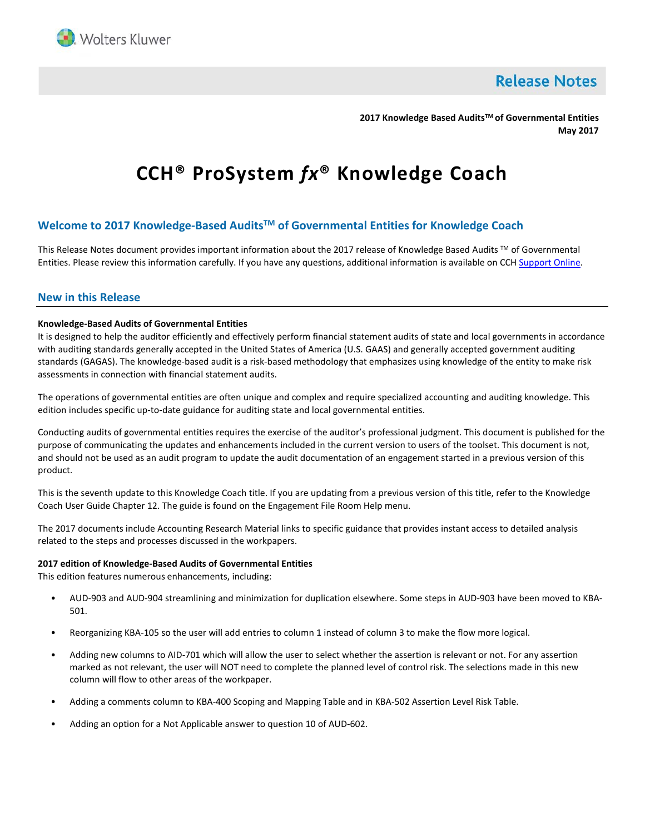

**Release Notes** 

**2017 Knowledge Based AuditsTM of Governmental Entities May 2017**

# **CCH® ProSystem** *fx***® Knowledge Coach**

# **Welcome to 2017 Knowledge-Based AuditsTM of Governmental Entities for Knowledge Coach**

This Release Notes document provides important information about the 2017 release of Knowledge Based Audits ™ of Governmental Entities. Please review this information carefully. If you have any questions, additional information is available on CCH [Support Online.](http://support.cch.com/productsupport/)

## **New in this Release**

## **Knowledge-Based Audits of Governmental Entities**

It is designed to help the auditor efficiently and effectively perform financial statement audits of state and local governments in accordance with auditing standards generally accepted in the United States of America (U.S. GAAS) and generally accepted government auditing standards (GAGAS). The knowledge-based audit is a risk-based methodology that emphasizes using knowledge of the entity to make risk assessments in connection with financial statement audits.

The operations of governmental entities are often unique and complex and require specialized accounting and auditing knowledge. This edition includes specific up-to-date guidance for auditing state and local governmental entities.

Conducting audits of governmental entities requires the exercise of the auditor's professional judgment. This document is published for the purpose of communicating the updates and enhancements included in the current version to users of the toolset. This document is not, and should not be used as an audit program to update the audit documentation of an engagement started in a previous version of this product.

This is the seventh update to this Knowledge Coach title. If you are updating from a previous version of this title, refer to the Knowledge Coach User Guide Chapter 12. The guide is found on the Engagement File Room Help menu.

The 2017 documents include Accounting Research Material links to specific guidance that provides instant access to detailed analysis related to the steps and processes discussed in the workpapers.

## **2017 edition of Knowledge-Based Audits of Governmental Entities**

This edition features numerous enhancements, including:

- AUD-903 and AUD-904 streamlining and minimization for duplication elsewhere. Some steps in AUD-903 have been moved to KBA-501.
- Reorganizing KBA-105 so the user will add entries to column 1 instead of column 3 to make the flow more logical.
- Adding new columns to AID-701 which will allow the user to select whether the assertion is relevant or not. For any assertion marked as not relevant, the user will NOT need to complete the planned level of control risk. The selections made in this new column will flow to other areas of the workpaper.
- Adding a comments column to KBA-400 Scoping and Mapping Table and in KBA-502 Assertion Level Risk Table.
- Adding an option for a Not Applicable answer to question 10 of AUD-602.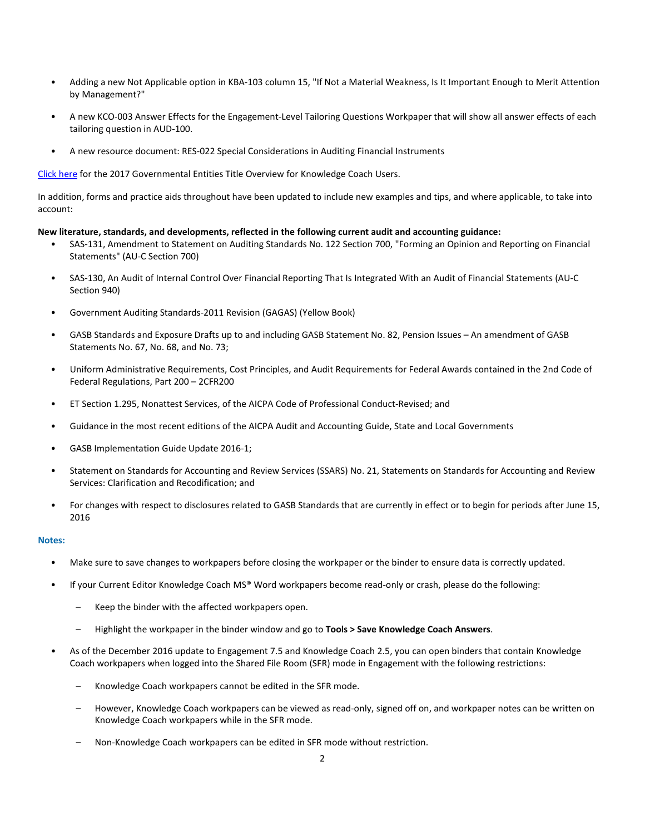- Adding a new Not Applicable option in KBA-103 column 15, "If Not a Material Weakness, Is It Important Enough to Merit Attention by Management?"
- A new KCO-003 Answer Effects for the Engagement-Level Tailoring Questions Workpaper that will show all answer effects of each tailoring question in AUD-100.
- A new resource document: RES-022 Special Considerations in Auditing Financial Instruments

[Click here](https://support.cch.com/updates/knowledgecoach/pdf/guides_tab/2017%20Governmental%20Entities%20Title%20Overview%20for%20Knowledge%20Coach%20Users.pdf) for the 2017 Governmental Entities Title Overview for Knowledge Coach Users.

In addition, forms and practice aids throughout have been updated to include new examples and tips, and where applicable, to take into account:

## **New literature, standards, and developments, reflected in the following current audit and accounting guidance:**

- SAS-131, Amendment to Statement on Auditing Standards No. 122 Section 700, "Forming an Opinion and Reporting on Financial Statements" (AU-C Section 700)
- SAS-130, An Audit of Internal Control Over Financial Reporting That Is Integrated With an Audit of Financial Statements (AU-C Section 940)
- Government Auditing Standards-2011 Revision (GAGAS) (Yellow Book)
- GASB Standards and Exposure Drafts up to and including GASB Statement No. 82, Pension Issues An amendment of GASB Statements No. 67, No. 68, and No. 73;
- Uniform Administrative Requirements, Cost Principles, and Audit Requirements for Federal Awards contained in the 2nd Code of Federal Regulations, Part 200 – 2CFR200
- ET Section 1.295, Nonattest Services, of the AICPA Code of Professional Conduct-Revised; and
- Guidance in the most recent editions of the AICPA Audit and Accounting Guide, State and Local Governments
- GASB Implementation Guide Update 2016-1;
- Statement on Standards for Accounting and Review Services (SSARS) No. 21, Statements on Standards for Accounting and Review Services: Clarification and Recodification; and
- For changes with respect to disclosures related to GASB Standards that are currently in effect or to begin for periods after June 15, 2016

## **Notes:**

- Make sure to save changes to workpapers before closing the workpaper or the binder to ensure data is correctly updated.
- If your Current Editor Knowledge Coach MS® Word workpapers become read-only or crash, please do the following:
	- Keep the binder with the affected workpapers open.
	- Highlight the workpaper in the binder window and go to **Tools > Save Knowledge Coach Answers**.
- As of the December 2016 update to Engagement 7.5 and Knowledge Coach 2.5, you can open binders that contain Knowledge Coach workpapers when logged into the Shared File Room (SFR) mode in Engagement with the following restrictions:
	- Knowledge Coach workpapers cannot be edited in the SFR mode.
	- However, Knowledge Coach workpapers can be viewed as read-only, signed off on, and workpaper notes can be written on Knowledge Coach workpapers while in the SFR mode.
	- Non-Knowledge Coach workpapers can be edited in SFR mode without restriction.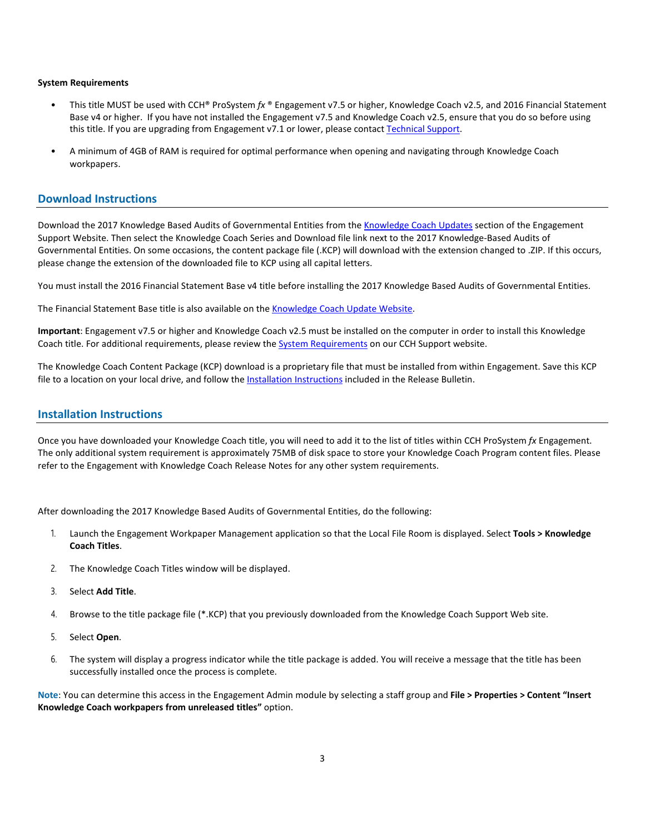## **System Requirements**

- This title MUST be used with CCH® ProSystem *fx* ® Engagement v7.5 or higher, Knowledge Coach v2.5, and 2016 Financial Statement Base v4 or higher. If you have not installed the Engagement v7.5 and Knowledge Coach v2.5, ensure that you do so before using this title. If you are upgrading from Engagement v7.1 or lower, please contac[t Technical Support.](https://support.cch.com/contact)
- A minimum of 4GB of RAM is required for optimal performance when opening and navigating through Knowledge Coach workpapers.

## **Download Instructions**

Download the 2017 Knowledge Based Audits of Governmental Entities from th[e Knowledge Coach Updates](http://support.cch.com/updates/KnowledgeCoach) section of the Engagement Support Website. Then select the Knowledge Coach Series and Download file link next to the 2017 Knowledge-Based Audits of Governmental Entities. On some occasions, the content package file (.KCP) will download with the extension changed to .ZIP. If this occurs, please change the extension of the downloaded file to KCP using all capital letters.

You must install the 2016 Financial Statement Base v4 title before installing the 2017 Knowledge Based Audits of Governmental Entities.

The Financial Statement Base title is also available on th[e Knowledge Coach Update Website.](http://support.cch.com/updates/KnowledgeCoach)

**Important**: Engagement v7.5 or higher and Knowledge Coach v2.5 must be installed on the computer in order to install this Knowledge Coach title. For additional requirements, please review the **System Requirements on our CCH Support website**.

The Knowledge Coach Content Package (KCP) download is a proprietary file that must be installed from within Engagement. Save this KCP file to a location on your local drive, and follow the **[Installation Instructions](#page-2-0)** included in the Release Bulletin.

## <span id="page-2-0"></span>**Installation Instructions**

Once you have downloaded your Knowledge Coach title, you will need to add it to the list of titles within CCH ProSystem *fx* Engagement. The only additional system requirement is approximately 75MB of disk space to store your Knowledge Coach Program content files. Please refer to the Engagement with Knowledge Coach Release Notes for any other system requirements.

After downloading the 2017 Knowledge Based Audits of Governmental Entities, do the following:

- 1. Launch the Engagement Workpaper Management application so that the Local File Room is displayed. Select **Tools > Knowledge Coach Titles**.
- 2. The Knowledge Coach Titles window will be displayed.
- 3. Select **Add Title**.
- 4. Browse to the title package file (\*.KCP) that you previously downloaded from the Knowledge Coach Support Web site.
- 5. Select **Open**.
- 6. The system will display a progress indicator while the title package is added. You will receive a message that the title has been successfully installed once the process is complete.

**Note**: You can determine this access in the Engagement Admin module by selecting a staff group and **File > Properties > Content "Insert Knowledge Coach workpapers from unreleased titles"** option.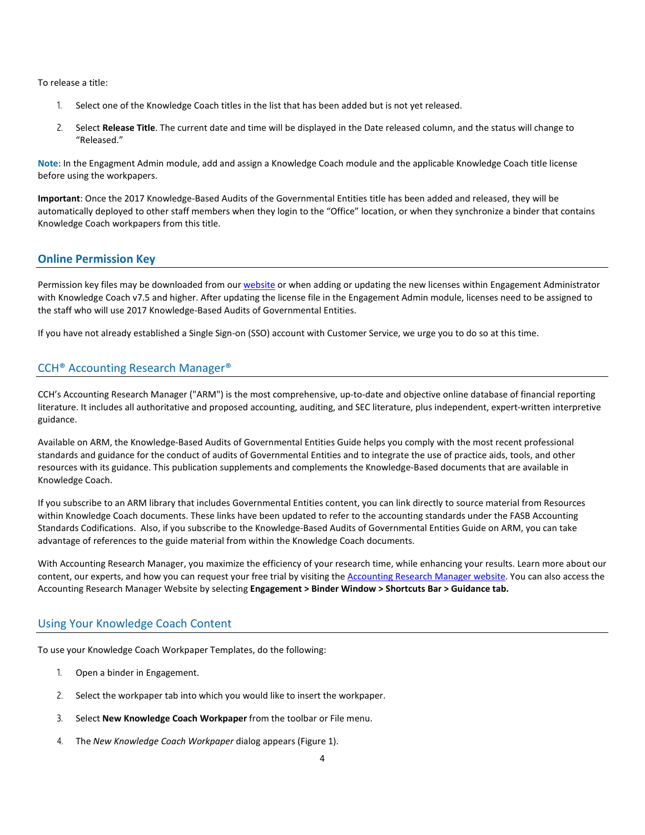To release a title:

- 1. Select one of the Knowledge Coach titles in the list that has been added but is not yet released.
- 2. Select **Release Title**. The current date and time will be displayed in the Date released column, and the status will change to "Released."

**Note**: In the Engagment Admin module, add and assign a Knowledge Coach module and the applicable Knowledge Coach title license before using the workpapers.

**Important**: Once the 2017 Knowledge-Based Audits of the Governmental Entities title has been added and released, they will be automatically deployed to other staff members when they login to the "Office" location, or when they synchronize a binder that contains Knowledge Coach workpapers from this title.

## **Online Permission Key**

Permission key files may be downloaded from ou[r website](https://prosystemfxsupport.tax.cchgroup.com/permkey/download.aspx) or when adding or updating the new licenses within Engagement Administrator with Knowledge Coach v7.5 and higher. After updating the license file in the Engagement Admin module, licenses need to be assigned to the staff who will use 2017 Knowledge-Based Audits of Governmental Entities.

If you have not already established a Single Sign-on (SSO) account with Customer Service, we urge you to do so at this time.

# CCH® Accounting Research Manager®

CCH's Accounting Research Manager ("ARM") is the most comprehensive, up-to-date and objective online database of financial reporting literature. It includes all authoritative and proposed accounting, auditing, and SEC literature, plus independent, expert-written interpretive guidance.

Available on ARM, the Knowledge-Based Audits of Governmental Entities Guide helps you comply with the most recent professional standards and guidance for the conduct of audits of Governmental Entities and to integrate the use of practice aids, tools, and other resources with its guidance. This publication supplements and complements the Knowledge-Based documents that are available in Knowledge Coach.

If you subscribe to an ARM library that includes Governmental Entities content, you can link directly to source material from Resources within Knowledge Coach documents. These links have been updated to refer to the accounting standards under the FASB Accounting Standards Codifications. Also, if you subscribe to the Knowledge-Based Audits of Governmental Entities Guide on ARM, you can take advantage of references to the guide material from within the Knowledge Coach documents.

With Accounting Research Manager, you maximize the efficiency of your research time, while enhancing your results. Learn more about our content, our experts, and how you can request your free trial by visiting the [Accounting Research Manager website.](http://www.accountingresearchmanager.com/) You can also access the Accounting Research Manager Website by selecting **Engagement > Binder Window > Shortcuts Bar > Guidance tab.**

## Using Your Knowledge Coach Content

To use your Knowledge Coach Workpaper Templates, do the following:

- 1. Open a binder in Engagement.
- 2. Select the workpaper tab into which you would like to insert the workpaper.
- 3. Select **New Knowledge Coach Workpaper** from the toolbar or File menu.
- 4. The *New Knowledge Coach Workpaper* dialog appears (Figure 1).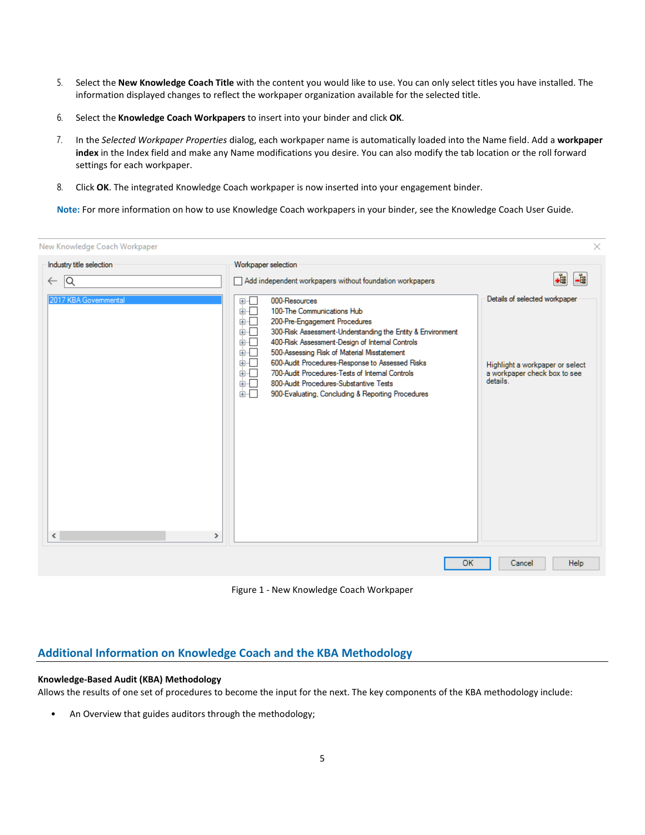- 5. Select the **New Knowledge Coach Title** with the content you would like to use. You can only select titles you have installed. The information displayed changes to reflect the workpaper organization available for the selected title.
- 6. Select the **Knowledge Coach Workpapers** to insert into your binder and click **OK**.
- 7. In the *Selected Workpaper Properties* dialog, each workpaper name is automatically loaded into the Name field. Add a **workpaper index** in the Index field and make any Name modifications you desire. You can also modify the tab location or the roll forward settings for each workpaper.
- 8. Click **OK**. The integrated Knowledge Coach workpaper is now inserted into your engagement binder.

**Note:** For more information on how to use Knowledge Coach workpapers in your binder, see the Knowledge Coach User Guide.

| New Knowledge Coach Workpaper                       |                                                                                                                                                                                                                                                                                                                                                                                                                                                                                                                 | ×                                                                                                            |
|-----------------------------------------------------|-----------------------------------------------------------------------------------------------------------------------------------------------------------------------------------------------------------------------------------------------------------------------------------------------------------------------------------------------------------------------------------------------------------------------------------------------------------------------------------------------------------------|--------------------------------------------------------------------------------------------------------------|
| Industry title selection                            | Workpaper selection                                                                                                                                                                                                                                                                                                                                                                                                                                                                                             |                                                                                                              |
| Q<br>$\leftarrow$                                   | Add independent workpapers without foundation workpapers                                                                                                                                                                                                                                                                                                                                                                                                                                                        | -1<br>-8                                                                                                     |
| 2017 KBA Governmental<br>$\langle$<br>$\rightarrow$ | 000-Resources<br>⊕-⊡<br>க்√<br>100-The Communications Hub<br>200-Pre-Engagement Procedures<br>由.<br>300-Risk Assessment-Understanding the Entity & Environment<br>画画<br>400-Risk Assessment-Design of Internal Controls<br>⊞™<br>500-Assessing Risk of Material Misstatement<br>面近<br>600-Audit Procedures-Response to Assessed Risks<br>由…<br>700-Audit Procedures-Tests of Internal Controls<br>画画<br>800-Audit Procedures-Substantive Tests<br>面示<br>面一<br>900-Evaluating, Concluding & Reporting Procedures | Details of selected workpaper<br>Highlight a workpaper or select<br>a workpaper check box to see<br>details. |
|                                                     | OK                                                                                                                                                                                                                                                                                                                                                                                                                                                                                                              | Cancel<br>Help                                                                                               |

Figure 1 - New Knowledge Coach Workpaper

# **Additional Information on Knowledge Coach and the KBA Methodology**

## **Knowledge-Based Audit (KBA) Methodology**

Allows the results of one set of procedures to become the input for the next. The key components of the KBA methodology include:

• An Overview that guides auditors through the methodology;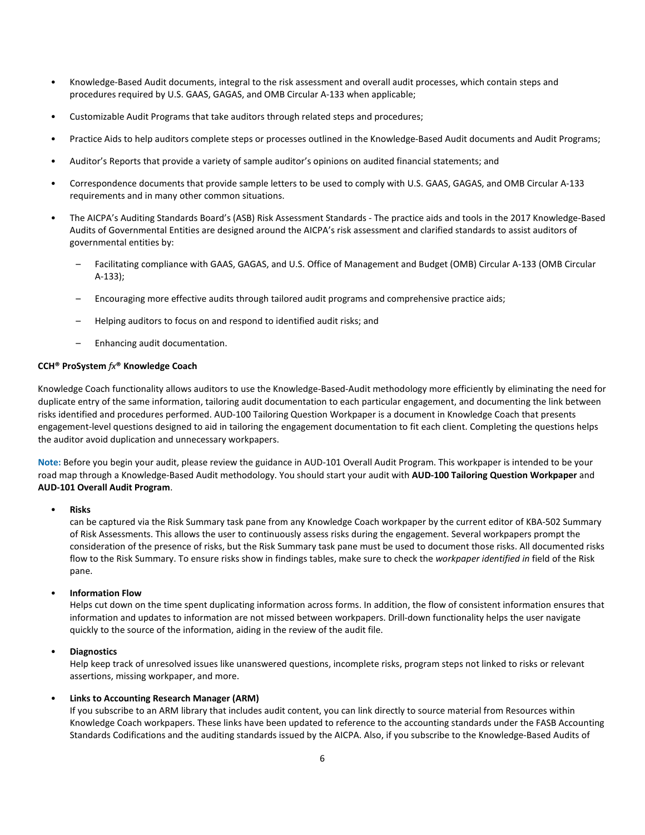- Knowledge-Based Audit documents, integral to the risk assessment and overall audit processes, which contain steps and procedures required by U.S. GAAS, GAGAS, and OMB Circular A-133 when applicable;
- Customizable Audit Programs that take auditors through related steps and procedures;
- Practice Aids to help auditors complete steps or processes outlined in the Knowledge-Based Audit documents and Audit Programs;
- Auditor's Reports that provide a variety of sample auditor's opinions on audited financial statements; and
- Correspondence documents that provide sample letters to be used to comply with U.S. GAAS, GAGAS, and OMB Circular A-133 requirements and in many other common situations.
- The AICPA's Auditing Standards Board's (ASB) Risk Assessment Standards The practice aids and tools in the 2017 Knowledge-Based Audits of Governmental Entities are designed around the AICPA's risk assessment and clarified standards to assist auditors of governmental entities by:
	- Facilitating compliance with GAAS, GAGAS, and U.S. Office of Management and Budget (OMB) Circular A-133 (OMB Circular A-133);
	- Encouraging more effective audits through tailored audit programs and comprehensive practice aids;
	- Helping auditors to focus on and respond to identified audit risks; and
	- Enhancing audit documentation.

## **CCH® ProSystem** *fx***® Knowledge Coach**

Knowledge Coach functionality allows auditors to use the Knowledge-Based-Audit methodology more efficiently by eliminating the need for duplicate entry of the same information, tailoring audit documentation to each particular engagement, and documenting the link between risks identified and procedures performed. AUD-100 Tailoring Question Workpaper is a document in Knowledge Coach that presents engagement-level questions designed to aid in tailoring the engagement documentation to fit each client. Completing the questions helps the auditor avoid duplication and unnecessary workpapers.

**Note:** Before you begin your audit, please review the guidance in AUD-101 Overall Audit Program. This workpaper is intended to be your road map through a Knowledge-Based Audit methodology. You should start your audit with **AUD-100 Tailoring Question Workpaper** and **AUD-101 Overall Audit Program**.

## • **Risks**

can be captured via the Risk Summary task pane from any Knowledge Coach workpaper by the current editor of KBA-502 Summary of Risk Assessments. This allows the user to continuously assess risks during the engagement. Several workpapers prompt the consideration of the presence of risks, but the Risk Summary task pane must be used to document those risks. All documented risks flow to the Risk Summary. To ensure risks show in findings tables, make sure to check the *workpaper identified in* field of the Risk pane.

## • **Information Flow**

Helps cut down on the time spent duplicating information across forms. In addition, the flow of consistent information ensures that information and updates to information are not missed between workpapers. Drill-down functionality helps the user navigate quickly to the source of the information, aiding in the review of the audit file.

## • **Diagnostics**

Help keep track of unresolved issues like unanswered questions, incomplete risks, program steps not linked to risks or relevant assertions, missing workpaper, and more.

## • **Links to Accounting Research Manager (ARM)**

If you subscribe to an ARM library that includes audit content, you can link directly to source material from Resources within Knowledge Coach workpapers. These links have been updated to reference to the accounting standards under the FASB Accounting Standards Codifications and the auditing standards issued by the AICPA. Also, if you subscribe to the Knowledge-Based Audits of